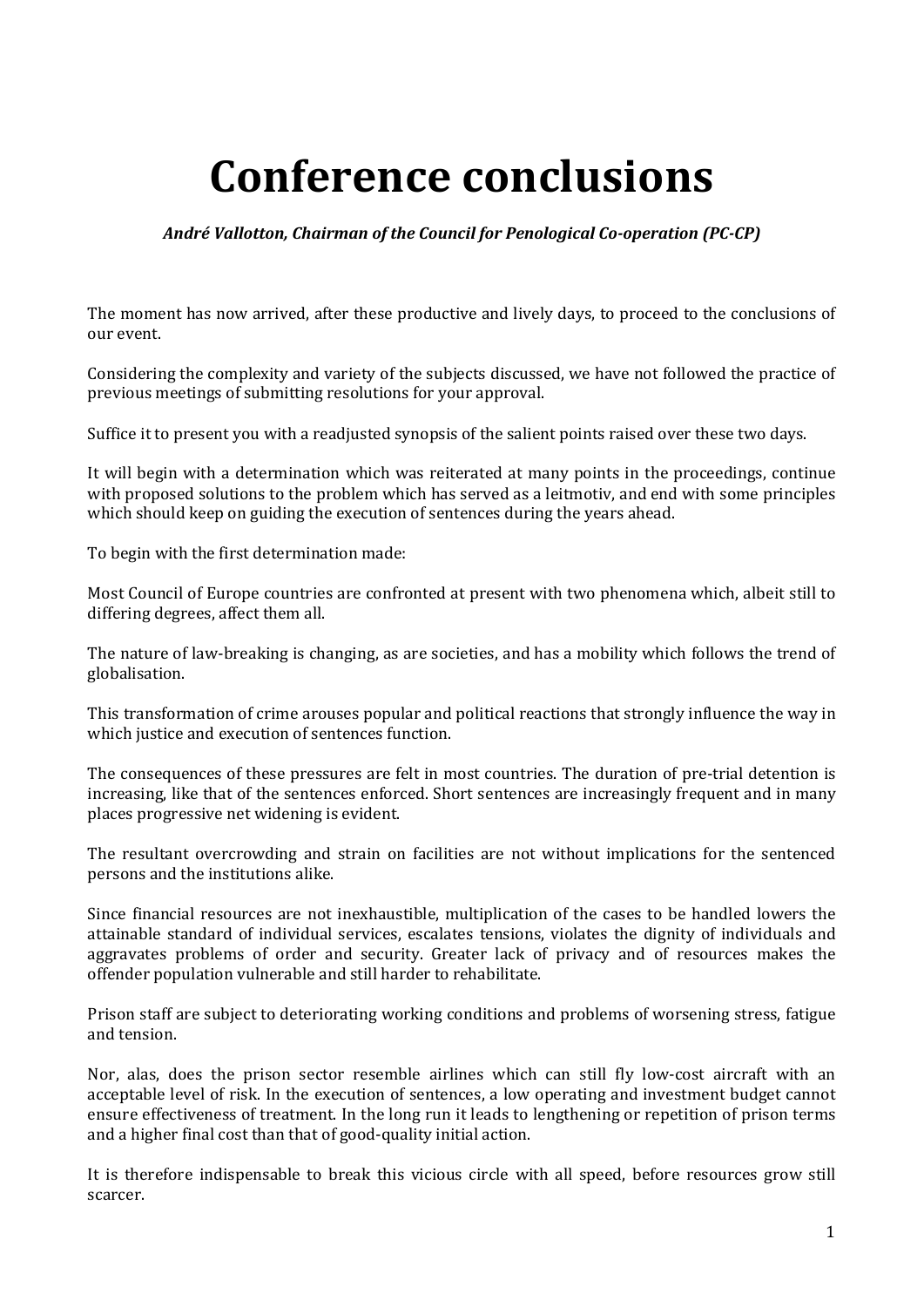## **Conference conclusions**

## *André Vallotton, Chairman of the Council for Penological Co-operation (PC-CP)*

The moment has now arrived, after these productive and lively days, to proceed to the conclusions of our event.

Considering the complexity and variety of the subjects discussed, we have not followed the practice of previous meetings of submitting resolutions for your approval.

Suffice it to present you with a readjusted synopsis of the salient points raised over these two days.

It will begin with a determination which was reiterated at many points in the proceedings, continue with proposed solutions to the problem which has served as a leitmotiv, and end with some principles which should keep on guiding the execution of sentences during the years ahead.

To begin with the first determination made:

Most Council of Europe countries are confronted at present with two phenomena which, albeit still to differing degrees, affect them all.

The nature of law-breaking is changing, as are societies, and has a mobility which follows the trend of globalisation.

This transformation of crime arouses popular and political reactions that strongly influence the way in which justice and execution of sentences function.

The consequences of these pressures are felt in most countries. The duration of pre-trial detention is increasing, like that of the sentences enforced. Short sentences are increasingly frequent and in many places progressive net widening is evident.

The resultant overcrowding and strain on facilities are not without implications for the sentenced persons and the institutions alike.

Since financial resources are not inexhaustible, multiplication of the cases to be handled lowers the attainable standard of individual services, escalates tensions, violates the dignity of individuals and aggravates problems of order and security. Greater lack of privacy and of resources makes the offender population vulnerable and still harder to rehabilitate.

Prison staff are subject to deteriorating working conditions and problems of worsening stress, fatigue and tension.

Nor, alas, does the prison sector resemble airlines which can still fly low-cost aircraft with an acceptable level of risk. In the execution of sentences, a low operating and investment budget cannot ensure effectiveness of treatment. In the long run it leads to lengthening or repetition of prison terms and a higher final cost than that of good-quality initial action.

It is therefore indispensable to break this vicious circle with all speed, before resources grow still scarcer.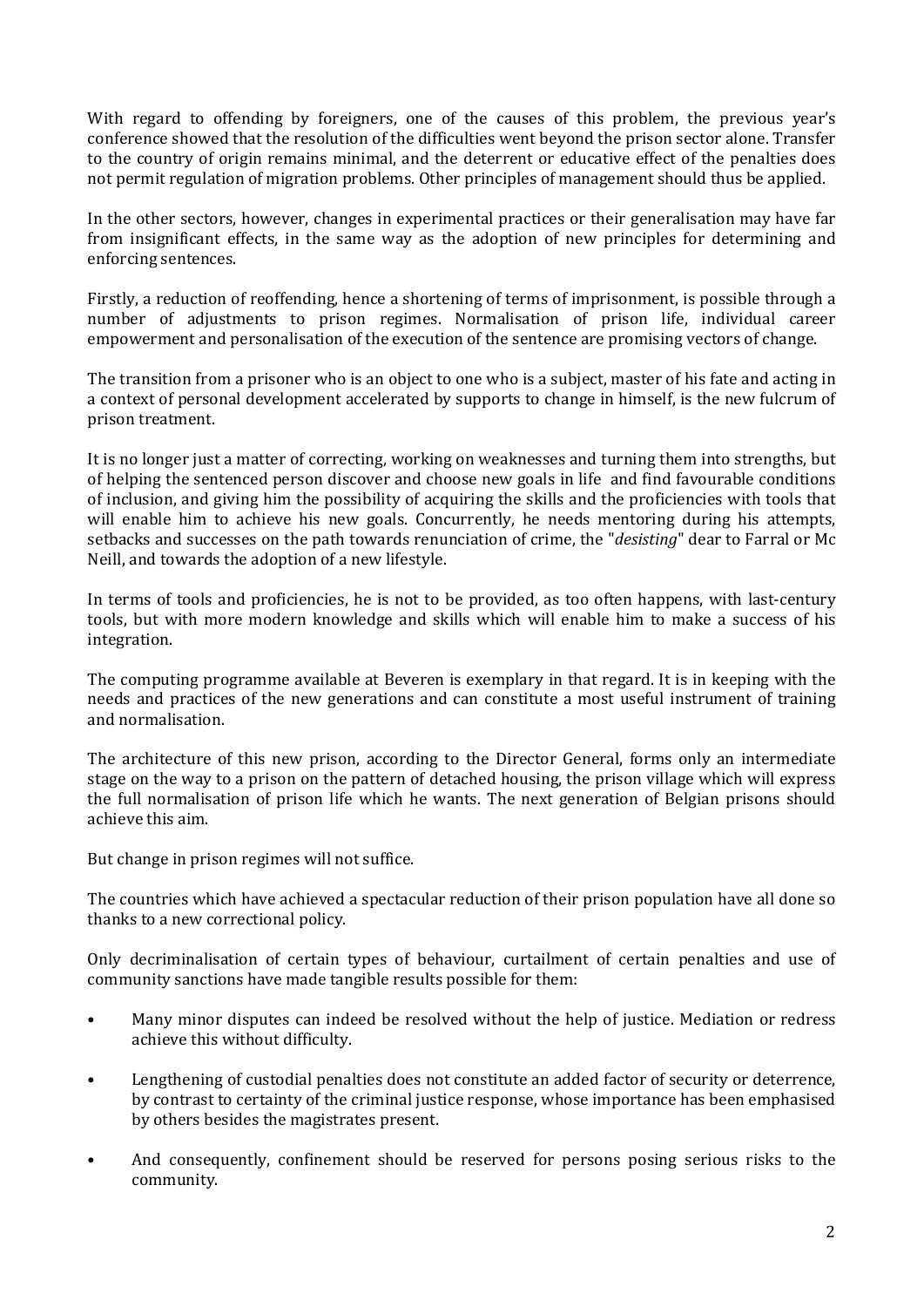With regard to offending by foreigners, one of the causes of this problem, the previous year's conference showed that the resolution of the difficulties went beyond the prison sector alone. Transfer to the country of origin remains minimal, and the deterrent or educative effect of the penalties does not permit regulation of migration problems. Other principles of management should thus be applied.

In the other sectors, however, changes in experimental practices or their generalisation may have far from insignificant effects, in the same way as the adoption of new principles for determining and enforcing sentences.

Firstly, a reduction of reoffending, hence a shortening of terms of imprisonment, is possible through a number of adjustments to prison regimes. Normalisation of prison life, individual career empowerment and personalisation of the execution of the sentence are promising vectors of change.

The transition from a prisoner who is an object to one who is a subject, master of his fate and acting in a context of personal development accelerated by supports to change in himself, is the new fulcrum of prison treatment.

It is no longer just a matter of correcting, working on weaknesses and turning them into strengths, but of helping the sentenced person discover and choose new goals in life and find favourable conditions of inclusion, and giving him the possibility of acquiring the skills and the proficiencies with tools that will enable him to achieve his new goals. Concurrently, he needs mentoring during his attempts, setbacks and successes on the path towards renunciation of crime, the "*desisting*" dear to Farral or Mc Neill, and towards the adoption of a new lifestyle.

In terms of tools and proficiencies, he is not to be provided, as too often happens, with last-century tools, but with more modern knowledge and skills which will enable him to make a success of his integration.

The computing programme available at Beveren is exemplary in that regard. It is in keeping with the needs and practices of the new generations and can constitute a most useful instrument of training and normalisation.

The architecture of this new prison, according to the Director General, forms only an intermediate stage on the way to a prison on the pattern of detached housing, the prison village which will express the full normalisation of prison life which he wants. The next generation of Belgian prisons should achieve this aim.

But change in prison regimes will not suffice.

The countries which have achieved a spectacular reduction of their prison population have all done so thanks to a new correctional policy.

Only decriminalisation of certain types of behaviour, curtailment of certain penalties and use of community sanctions have made tangible results possible for them:

- Many minor disputes can indeed be resolved without the help of justice. Mediation or redress achieve this without difficulty.
- Lengthening of custodial penalties does not constitute an added factor of security or deterrence, by contrast to certainty of the criminal justice response, whose importance has been emphasised by others besides the magistrates present.
- And consequently, confinement should be reserved for persons posing serious risks to the community.